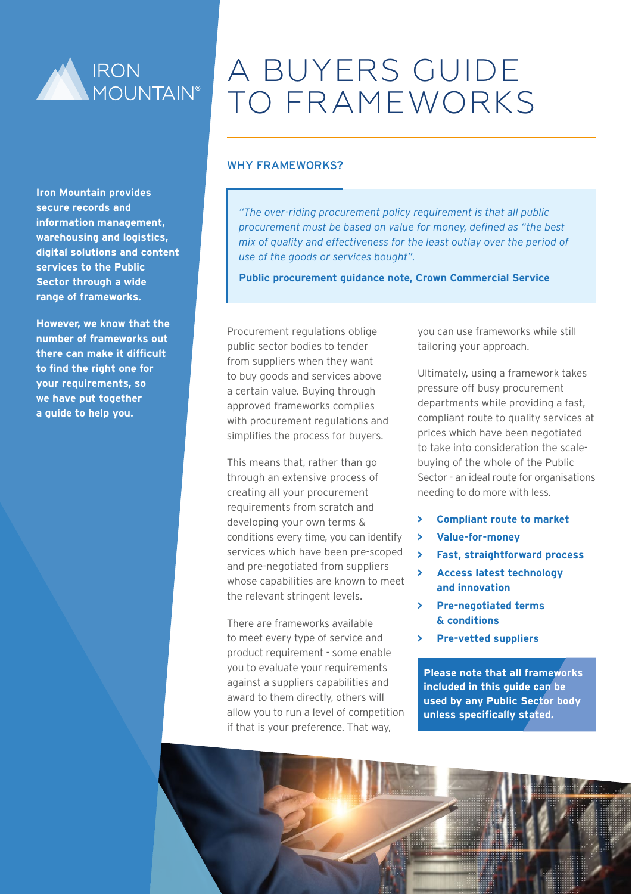

**Iron Mountain provides secure records and information management, warehousing and logistics, digital solutions and content services to the Public Sector through a wide range of frameworks.**

**However, we know that the number of frameworks out there can make it difficult to find the right one for your requirements, so we have put together a guide to help you.** 

# A BUYERS GUIDE TO FRAMEWORKS

#### WHY FRAMEWORKS?

*"The over-riding procurement policy requirement is that all public procurement must be based on value for money, defined as "the best mix of quality and effectiveness for the least outlay over the period of use of the goods or services bought".*

**Public procurement guidance note, Crown Commercial Service**

Procurement regulations oblige public sector bodies to tender from suppliers when they want to buy goods and services above a certain value. Buying through approved frameworks complies with procurement regulations and simplifies the process for buyers.

This means that, rather than go through an extensive process of creating all your procurement requirements from scratch and developing your own terms & conditions every time, you can identify services which have been pre-scoped and pre-negotiated from suppliers whose capabilities are known to meet the relevant stringent levels.

There are frameworks available to meet every type of service and product requirement - some enable you to evaluate your requirements against a suppliers capabilities and award to them directly, others will allow you to run a level of competition if that is your preference. That way,

you can use frameworks while still tailoring your approach.

Ultimately, using a framework takes pressure off busy procurement departments while providing a fast, compliant route to quality services at prices which have been negotiated to take into consideration the scalebuying of the whole of the Public Sector - an ideal route for organisations needing to do more with less.

- **> Compliant route to market**
- **> Value-for-money**
- **> Fast, straightforward process**
- **> Access latest technology and innovation**
- **> Pre-negotiated terms & conditions**
- **> Pre-vetted suppliers**

**Please note that all frameworks included in this guide can be used by any Public Sector body unless specifically stated.**

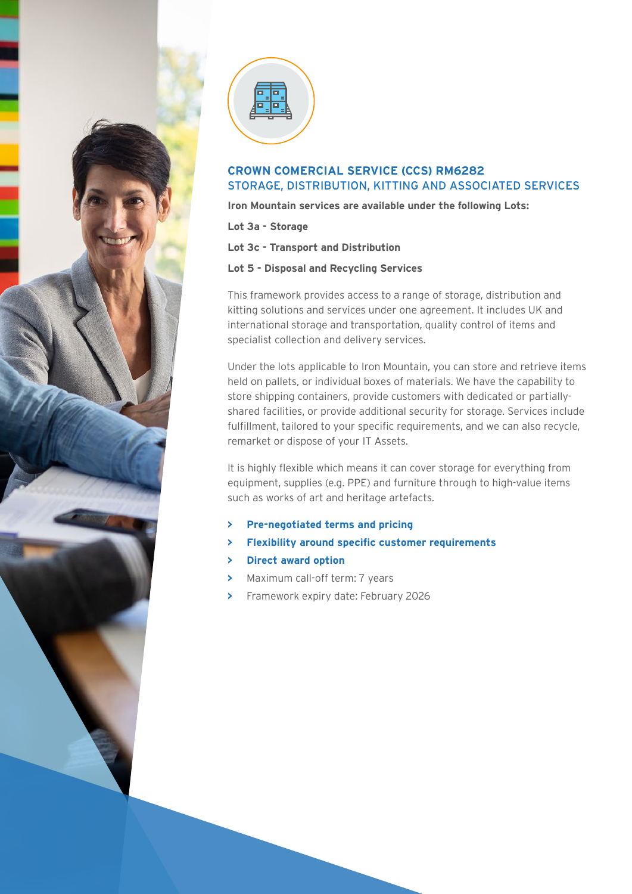



# **CROWN COMERCIAL SERVICE (CCS) RM6282** [STORAGE, DISTRIBUTION, KITTING AND ASSOCIATED SERVICES](https://www.crowncommercial.gov.uk/agreements/RM6175)

**Iron Mountain services are available under the following Lots:**

**Lot 3a - Storage**

**Lot 3c - Transport and Distribution**

#### **Lot 5 - Disposal and Recycling Services**

This framework provides access to a range of storage, distribution and kitting solutions and services under one agreement. It includes UK and international storage and transportation, quality control of items and specialist collection and delivery services.

Under the lots applicable to Iron Mountain, you can store and retrieve items held on pallets, or individual boxes of materials. We have the capability to store shipping containers, provide customers with dedicated or partiallyshared facilities, or provide additional security for storage. Services include fulfillment, tailored to your specific requirements, and we can also recycle, remarket or dispose of your IT Assets.

It is highly flexible which means it can cover storage for everything from equipment, supplies (e.g. PPE) and furniture through to high-value items such as works of art and heritage artefacts.

- **> Pre-negotiated terms and pricing**
- **> Flexibility around specific customer requirements**
- **> Direct award option**
- **>** Maximum call-off term: 7 years
- **>** Framework expiry date: February 2026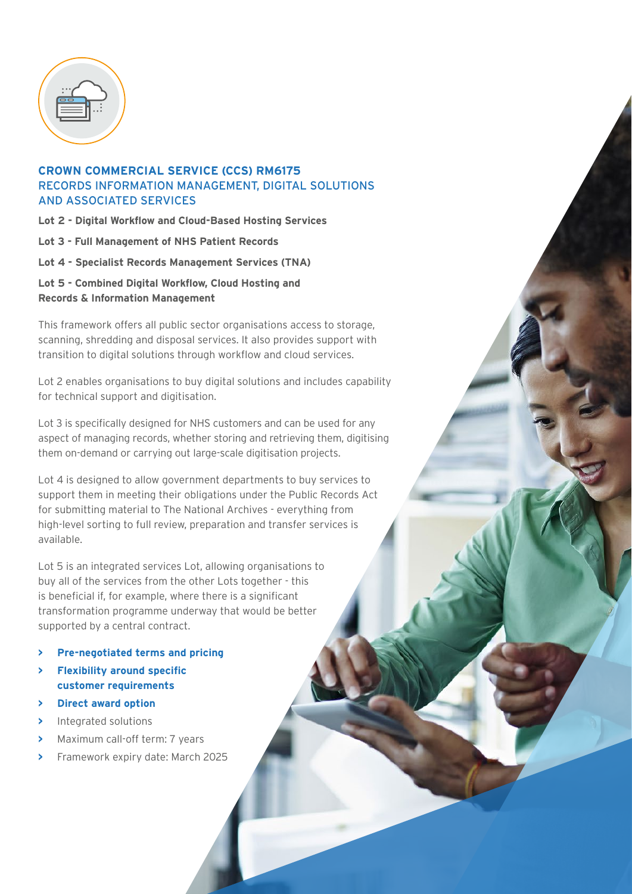| 50 |  |
|----|--|
|    |  |
|    |  |

#### **CROWN COMMERCIAL SERVICE (CCS[\) RM6175](https://www.crowncommercial.gov.uk/agreements/RM6175)** [RECORDS INFORMATION MANAGEMENT, DIGITAL SOLUTIONS](https://www.crowncommercial.gov.uk/agreements/RM6175)  [AND ASSOCIATED SERVICES](https://www.crowncommercial.gov.uk/agreements/RM6175)

**Lot 2 - Digital Workflow and Cloud-Based Hosting Services**

**Lot 3 - Full Management of NHS Patient Records**

**Lot 4 - Specialist Records Management Services (TNA)**

**Lot 5 - Combined Digital Workflow, Cloud Hosting and Records & Information Management**

This framework offers all public sector organisations access to storage, scanning, shredding and disposal services. It also provides support with transition to digital solutions through workflow and cloud services.

Lot 2 enables organisations to buy digital solutions and includes capability for technical support and digitisation.

Lot 3 is specifically designed for NHS customers and can be used for any aspect of managing records, whether storing and retrieving them, digitising them on-demand or carrying out large-scale digitisation projects.

Lot 4 is designed to allow government departments to buy services to support them in meeting their obligations under the Public Records Act for submitting material to The National Archives - everything from high-level sorting to full review, preparation and transfer services is available.

Lot 5 is an integrated services Lot, allowing organisations to buy all of the services from the other Lots together - this is beneficial if, for example, where there is a significant transformation programme underway that would be better supported by a central contract.

- **> Pre-negotiated terms and pricing**
- **> Flexibility around specific customer requirements**
- **> Direct award option**
- **>** Integrated solutions
- **>** Maximum call-off term: 7 years
- **>** Framework expiry date: March 2025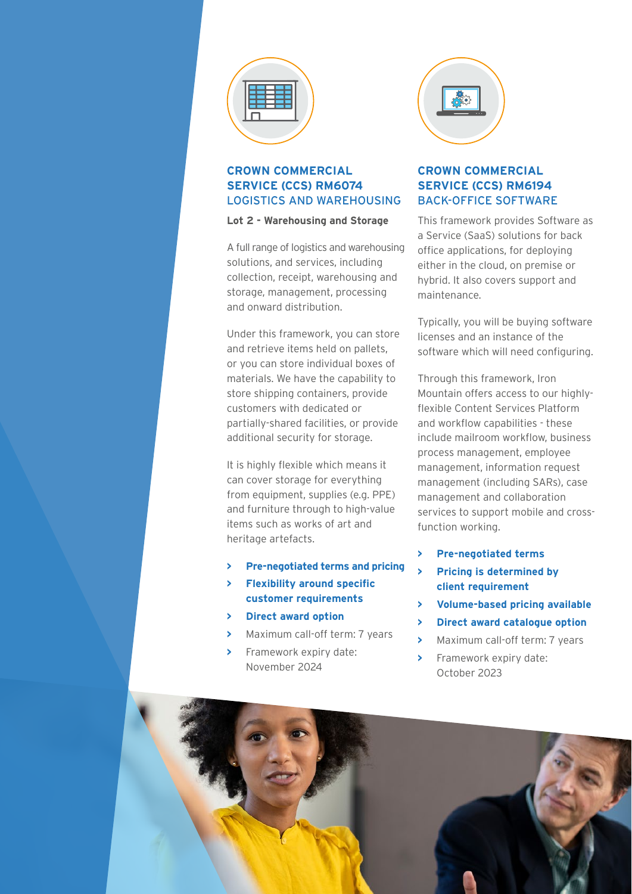

# **CROWN COMMERCIAL SERVICE (CCS[\) RM6074](https://www.crowncommercial.gov.uk/agreements/RM6074)** [LOGISTICS AND WAREHOUSING](https://www.crowncommercial.gov.uk/agreements/RM6074)

#### **Lot 2 - Warehousing and Storage**

A full range of logistics and warehousing solutions, and services, including collection, receipt, warehousing and storage, management, processing and onward distribution.

Under this framework, you can store and retrieve items held on pallets, or you can store individual boxes of materials. We have the capability to store shipping containers, provide customers with dedicated or partially-shared facilities, or provide additional security for storage.

It is highly flexible which means it can cover storage for everything from equipment, supplies (e.g. PPE) and furniture through to high-value items such as works of art and heritage artefacts.

- **> Pre-negotiated terms and pricing**
- **> Flexibility around specific customer requirements**
- **> Direct award option**
- **>** Maximum call-off term: 7 years
- **>** Framework expiry date: November 2024



# **CROWN COMMERCIAL SERVICE (CCS) [RM6194](https://www.crowncommercial.gov.uk/agreements/RM6194)** [BACK-OFFICE SOFTWARE](https://www.crowncommercial.gov.uk/agreements/RM6194)

This framework provides Software as a Service (SaaS) solutions for back office applications, for deploying either in the cloud, on premise or hybrid. It also covers support and maintenance.

Typically, you will be buying software licenses and an instance of the software which will need configuring.

Through this framework, Iron Mountain offers access to our highlyflexible Content Services Platform and workflow capabilities - these include mailroom workflow, business process management, employee management, information request management (including SARs), case management and collaboration services to support mobile and crossfunction working.

- **> Pre-negotiated terms**
- **> Pricing is determined by client requirement**
- **> Volume-based pricing available**
- **> Direct award catalogue option**
- **>** Maximum call-off term: 7 years
- **>** Framework expiry date: October 2023

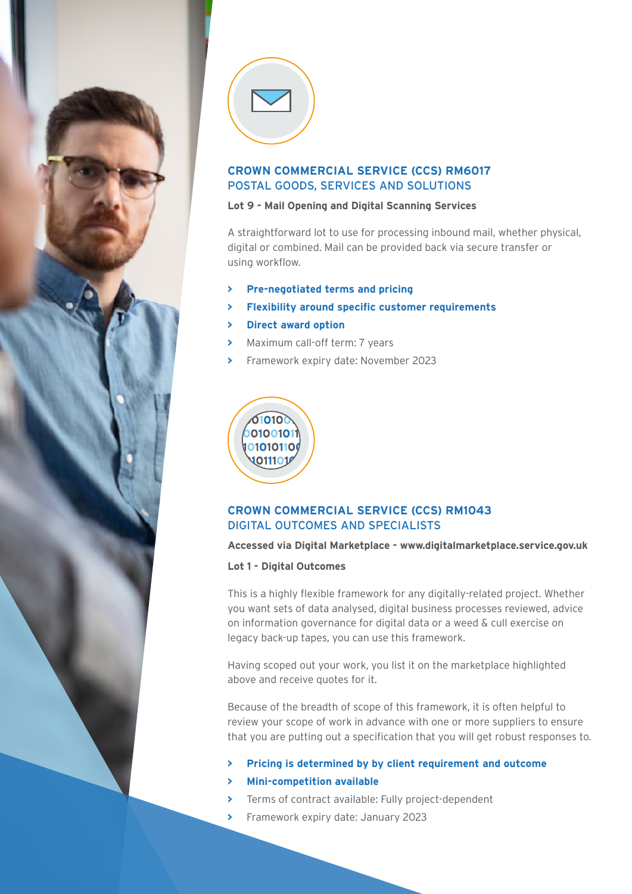

#### **CROWN COMMERCIAL SERVICE (CCS) [RM6017](https://www.crowncommercial.gov.uk/agreements/RM6017)** [POSTAL GOODS, SERVICES AND SOLUTIONS](https://www.crowncommercial.gov.uk/agreements/RM6017)

#### **Lot 9 - Mail Opening and Digital Scanning Services**

A straightforward lot to use for processing inbound mail, whether physical, digital or combined. Mail can be provided back via secure transfer or using workflow.

- **> Pre-negotiated terms and pricing**
- **> Flexibility around specific customer requirements**
- **> Direct award option**
- **>** Maximum call-off term: 7 years
- **>** Framework expiry date: November 2023



# **CROWN COMMERCIAL SERVICE (CCS) [RM1043](https://www.crowncommercial.gov.uk/agreements/RM1043.7)** [DIGITAL OUTCOMES AND SPECIALISTS](https://www.crowncommercial.gov.uk/agreements/RM1043.7)

#### **Accessed via Digital Marketplace - [www.digitalmarketplace.service.gov.uk](https://www.digitalmarketplace.service.gov.uk)**

**Lot 1 - Digital Outcomes**

This is a highly flexible framework for any digitally-related project. Whether you want sets of data analysed, digital business processes reviewed, advice on information governance for digital data or a weed & cull exercise on legacy back-up tapes, you can use this framework.

Having scoped out your work, you list it on the marketplace highlighted above and receive quotes for it.

Because of the breadth of scope of this framework, it is often helpful to review your scope of work in advance with one or more suppliers to ensure that you are putting out a specification that you will get robust responses to.

- **> Pricing is determined by by client requirement and outcome**
- **> Mini-competition available**
- **>** Terms of contract available: Fully project-dependent
- **>** Framework expiry date: January 2023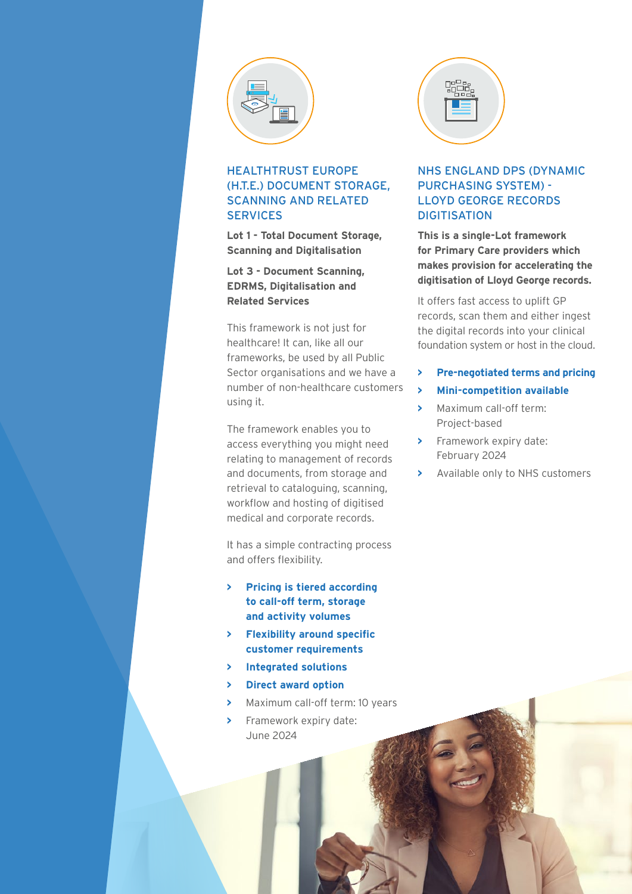

# HEALTHTRUST EUROPE (H.T.E.) [DOCUMENT STORAGE,](https://www.healthtrusteurope.com/healthtrust-europe-unveils-new-document-storage-scanning-and-related-services-framework/)  [SCANNING AND RELATED](https://www.healthtrusteurope.com/healthtrust-europe-unveils-new-document-storage-scanning-and-related-services-framework/)  **[SERVICES](https://www.healthtrusteurope.com/healthtrust-europe-unveils-new-document-storage-scanning-and-related-services-framework/)**

**Lot 1 - Total Document Storage, Scanning and Digitalisation**

**Lot 3 - Document Scanning, EDRMS, Digitalisation and Related Services**

This framework is not just for healthcare! It can, like all our frameworks, be used by all Public Sector organisations and we have a number of non-healthcare customers using it.

The framework enables you to access everything you might need relating to management of records and documents, from storage and retrieval to cataloguing, scanning, workflow and hosting of digitised medical and corporate records.

It has a simple contracting process and offers flexibility.

- **> Pricing is tiered according to call-off term, storage and activity volumes**
- **> Flexibility around specific customer requirements**
- **> Integrated solutions**
- **> Direct award option**
- **>** Maximum call-off term: 10 years
- **>** Framework expiry date: June 2024



# NHS ENGLAND DPS (DYNAMIC PURCHASING SYSTEM) - LLOYD GEORGE RECORDS **DIGITISATION**

**This is a single-Lot framework for Primary Care providers which makes provision for accelerating the digitisation of Lloyd George records.**

It offers fast access to uplift GP records, scan them and either ingest the digital records into your clinical foundation system or host in the cloud.

- **> Pre-negotiated terms and pricing**
- **> Mini-competition available**
- **>** Maximum call-off term: Project-based
- **>** Framework expiry date: February 2024
- **>** Available only to NHS customers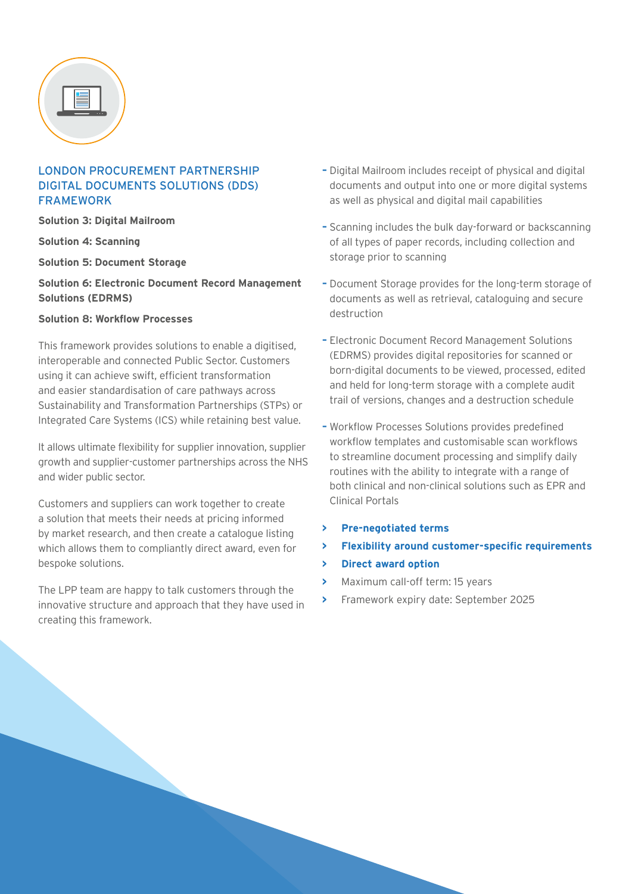| ы | $\overline{\phantom{a}}$ |
|---|--------------------------|
|   |                          |

# LONDON PROCUREMENT PARTNERSHIP DIGITAL DOCUMENTS SOLUTIONS (DDS) FRAMEWORK

**Solution 3: Digital Mailroom**

**Solution 4: Scanning**

**Solution 5: Document Storage**

#### **Solution 6: Electronic Document Record Management Solutions (EDRMS)**

#### **Solution 8: Workflow Processes**

This framework provides solutions to enable a digitised, interoperable and connected Public Sector. Customers using it can achieve swift, efficient transformation and easier standardisation of care pathways across Sustainability and Transformation Partnerships (STPs) or Integrated Care Systems (ICS) while retaining best value.

It allows ultimate flexibility for supplier innovation, supplier growth and supplier-customer partnerships across the NHS and wider public sector.

Customers and suppliers can work together to create a solution that meets their needs at pricing informed by market research, and then create a catalogue listing which allows them to compliantly direct award, even for bespoke solutions.

The LPP team are happy to talk customers through the innovative structure and approach that they have used in creating this framework.

- **–** Digital Mailroom includes receipt of physical and digital documents and output into one or more digital systems as well as physical and digital mail capabilities
- **–** Scanning includes the bulk day-forward or backscanning of all types of paper records, including collection and storage prior to scanning
- **–** Document Storage provides for the long-term storage of documents as well as retrieval, cataloguing and secure destruction
- **–** Electronic Document Record Management Solutions (EDRMS) provides digital repositories for scanned or born-digital documents to be viewed, processed, edited and held for long-term storage with a complete audit trail of versions, changes and a destruction schedule
- **–** Workflow Processes Solutions provides predefined workflow templates and customisable scan workflows to streamline document processing and simplify daily routines with the ability to integrate with a range of both clinical and non-clinical solutions such as EPR and Clinical Portals
- **> Pre-negotiated terms**
- **> Flexibility around customer-specific requirements**
- **> Direct award option**
- **>** Maximum call-off term: 15 years
- **>** Framework expiry date: September 2025